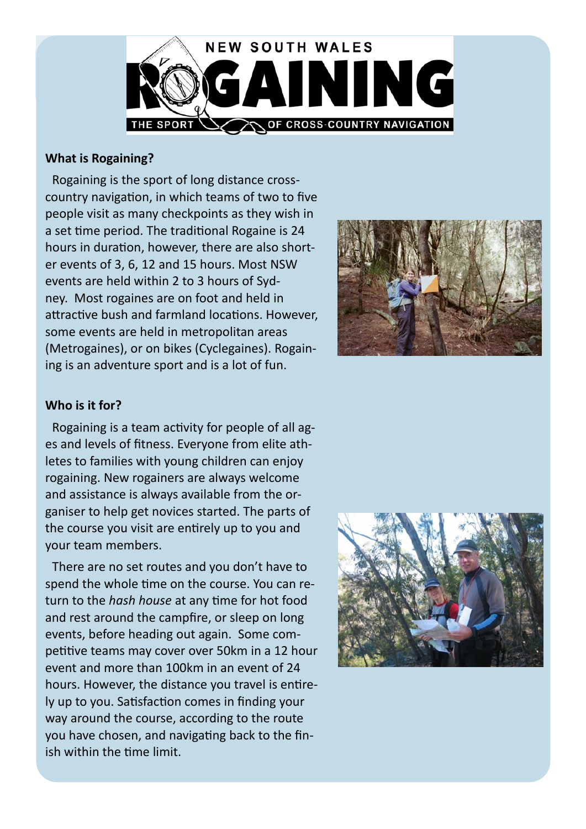

## **What is Rogaining?**

Rogaining is the sport of long distance crosscountry navigation, in which teams of two to five people visit as many checkpoints as they wish in a set time period. The traditional Rogaine is 24 hours in duration, however, there are also shorter events of 3, 6, 12 and 15 hours. Most NSW events are held within 2 to 3 hours of Sydney. Most rogaines are on foot and held in attractive bush and farmland locations. However, some events are held in metropolitan areas (Metrogaines), or on bikes (Cyclegaines). Rogaining is an adventure sport and is a lot of fun.



# **Who is it for?**

Rogaining is a team activity for people of all ages and levels of fitness. Everyone from elite athletes to families with young children can enjoy rogaining. New rogainers are always welcome and assistance is always available from the organiser to help get novices started. The parts of the course you visit are entirely up to you and your team members.

There are no set routes and you don't have to spend the whole time on the course. You can return to the *hash house* at any time for hot food and rest around the campfire, or sleep on long events, before heading out again. Some competitive teams may cover over 50km in a 12 hour event and more than 100km in an event of 24 hours. However, the distance you travel is entirely up to you. Satisfaction comes in finding your way around the course, according to the route you have chosen, and navigating back to the finish within the time limit.